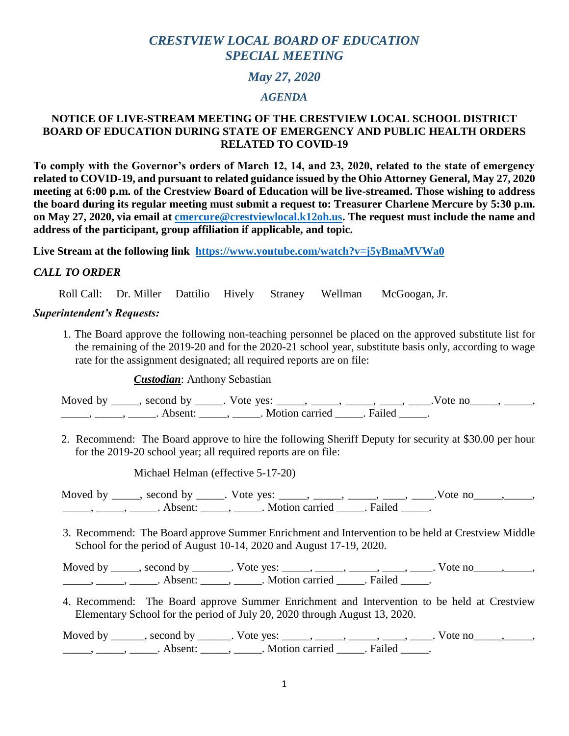# *CRESTVIEW LOCAL BOARD OF EDUCATION SPECIAL MEETING*

# *May 27, 2020*

## *AGENDA*

# **NOTICE OF LIVE-STREAM MEETING OF THE CRESTVIEW LOCAL SCHOOL DISTRICT BOARD OF EDUCATION DURING STATE OF EMERGENCY AND PUBLIC HEALTH ORDERS RELATED TO COVID-19**

**To comply with the Governor's orders of March 12, 14, and 23, 2020, related to the state of emergency related to COVID-19, and pursuant to related guidance issued by the Ohio Attorney General, May 27, 2020 meeting at 6:00 p.m. of the Crestview Board of Education will be live-streamed. Those wishing to address the board during its regular meeting must submit a request to: Treasurer Charlene Mercure by 5:30 p.m. on May 27, 2020, via email at [cmercure@crestviewlocal.k12oh.us.](mailto:cmercure@crestviewlocal.k12oh.us) The request must include the name and address of the participant, group affiliation if applicable, and topic.**

**Live Stream at the following link <https://www.youtube.com/watch?v=j5yBmaMVWa0>**

#### *CALL TO ORDER*

Roll Call: Dr. Miller Dattilio Hively Straney Wellman McGoogan, Jr.

#### *Superintendent's Requests:*

1. The Board approve the following non-teaching personnel be placed on the approved substitute list for the remaining of the 2019-20 and for the 2020-21 school year, substitute basis only, according to wage rate for the assignment designated; all required reports are on file:

*Custodian*: Anthony Sebastian

Moved by \_\_\_\_, second by \_\_\_\_\_. Vote yes: \_\_\_\_\_, \_\_\_\_\_, \_\_\_\_\_, \_\_\_\_, \_\_\_\_.Vote no\_\_\_\_\_, \_\_\_\_\_, \_\_\_\_\_\_, \_\_\_\_\_\_, Absent: \_\_\_\_\_, \_\_\_\_\_. Motion carried \_\_\_\_\_. Failed \_\_\_\_\_.

2. Recommend: The Board approve to hire the following Sheriff Deputy for security at \$30.00 per hour for the 2019-20 school year; all required reports are on file:

Michael Helman (effective 5-17-20)

Moved by \_\_\_\_\_, second by \_\_\_\_\_. Vote yes: \_\_\_\_\_, \_\_\_\_\_, \_\_\_\_, \_\_\_\_, \_\_\_\_.Vote no\_\_\_\_\_, \_\_\_\_\_, \_\_\_\_\_\_, \_\_\_\_\_\_, Absent: \_\_\_\_\_, \_\_\_\_\_. Motion carried \_\_\_\_\_. Failed \_\_\_\_\_.

3. Recommend: The Board approve Summer Enrichment and Intervention to be held at Crestview Middle School for the period of August 10-14, 2020 and August 17-19, 2020.

Moved by \_\_\_\_\_, second by \_\_\_\_\_\_\_. Vote yes: \_\_\_\_\_, \_\_\_\_\_, \_\_\_\_\_, \_\_\_\_\_, \_\_\_\_. Vote no\_\_\_\_\_, \_\_\_\_\_, \_\_\_\_\_\_, \_\_\_\_\_\_, Absent: \_\_\_\_\_, \_\_\_\_\_. Motion carried \_\_\_\_\_. Failed \_\_\_\_\_.

4. Recommend: The Board approve Summer Enrichment and Intervention to be held at Crestview Elementary School for the period of July 20, 2020 through August 13, 2020.

Moved by \_\_\_\_\_\_, second by \_\_\_\_\_\_. Vote yes: \_\_\_\_\_, \_\_\_\_\_, \_\_\_\_\_, \_\_\_\_, \_\_\_\_. Vote no\_\_\_\_\_, \_\_\_\_\_, \_\_\_\_\_\_, \_\_\_\_\_\_, Absent: \_\_\_\_\_, \_\_\_\_\_. Motion carried \_\_\_\_\_. Failed \_\_\_\_\_.